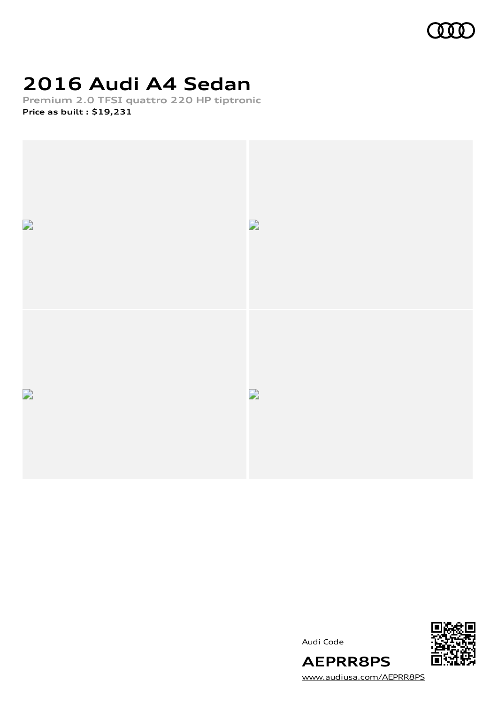

# **2016 Audi A4 Sedan**

**Premium 2.0 TFSI quattro 220 HP tiptronic Price as built [:](#page-9-0) \$19,231**



Audi Code



[www.audiusa.com/AEPRR8PS](https://www.audiusa.com/AEPRR8PS)

**AEPRR8PS**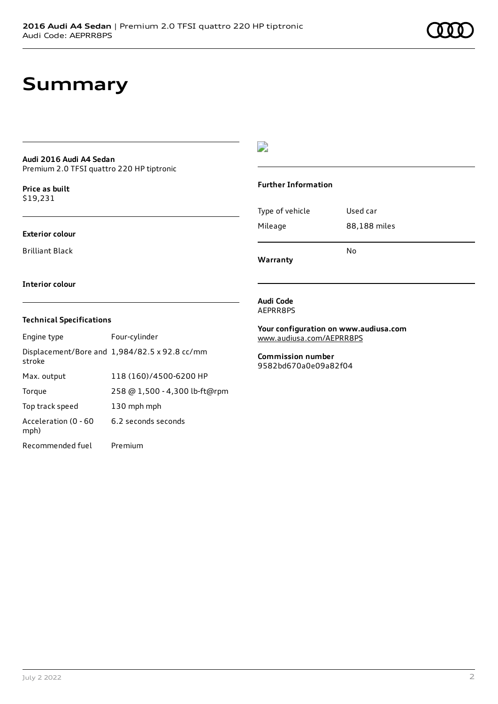## **Summary**

#### **Audi 2016 Audi A4 Sedan** Premium 2.0 TFSI quattro 220 HP tiptronic

**Price as buil[t](#page-9-0)** \$19,231

#### **Exterior colour**

Brilliant Black

### $\overline{\phantom{a}}$

#### **Further Information**

|                 | N٥           |
|-----------------|--------------|
| Mileage         | 88,188 miles |
| Type of vehicle | Used car     |

**Warranty**

#### **Interior colour**

### **Technical Specifications**

| Engine type                  | Four-cylinder                                 |
|------------------------------|-----------------------------------------------|
| stroke                       | Displacement/Bore and 1,984/82.5 x 92.8 cc/mm |
| Max. output                  | 118 (160)/4500-6200 HP                        |
| Torque                       | 258 @ 1,500 - 4,300 lb-ft@rpm                 |
| Top track speed              | 130 mph mph                                   |
| Acceleration (0 - 60<br>mph) | 6.2 seconds seconds                           |
| Recommended fuel             | Premium                                       |

#### **Audi Code** AEPRR8PS

**Your configuration on www.audiusa.com** [www.audiusa.com/AEPRR8PS](https://www.audiusa.com/AEPRR8PS)

**Commission number** 9582bd670a0e09a82f04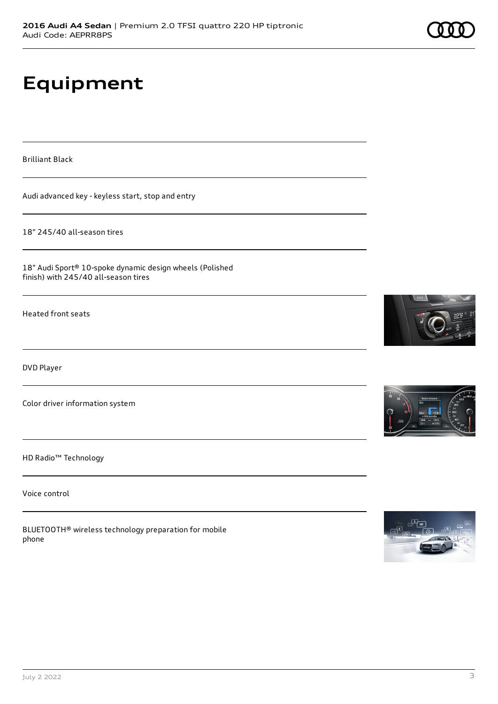# **Equipment**

Brilliant Black

Audi advanced key - keyless start, stop and entry

18" 245/40 all-season tires

18" Audi Sport® 10-spoke dynamic design wheels (Polished finish) with 245/40 all-season tires

Heated front seats

DVD Player

Color driver information system

HD Radio™ Technology

Voice control

BLUETOOTH® wireless technology preparation for mobile phone









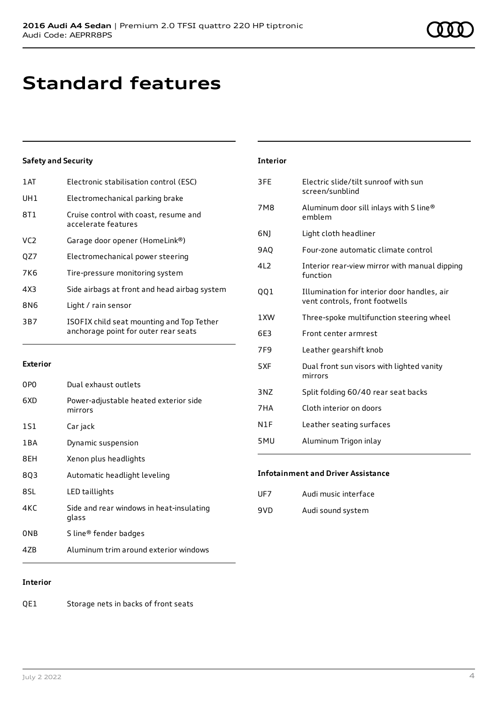# **Standard features**

### **Safety and Security**

| 1AT             | Electronic stabilisation control (ESC)                                            |
|-----------------|-----------------------------------------------------------------------------------|
| UH1             | Electromechanical parking brake                                                   |
| 8T1             | Cruise control with coast, resume and<br>accelerate features                      |
| VC <sub>2</sub> | Garage door opener (HomeLink®)                                                    |
| QZ7             | Electromechanical power steering                                                  |
| 7K <sub>6</sub> | Tire-pressure monitoring system                                                   |
| 4X3             | Side airbags at front and head airbag system                                      |
| 8N6             | Light / rain sensor                                                               |
| 3B7             | ISOFIX child seat mounting and Top Tether<br>anchorage point for outer rear seats |

#### **Exterior**

| 0P <sub>0</sub> | Dual exhaust outlets                              |
|-----------------|---------------------------------------------------|
| 6XD             | Power-adjustable heated exterior side<br>mirrors  |
| 1S1             | Car jack                                          |
| 1 B A           | Dynamic suspension                                |
| 8EH             | Xenon plus headlights                             |
| 803             | Automatic headlight leveling                      |
| 8SL             | LED taillights                                    |
| 4KC             | Side and rear windows in heat-insulating<br>glass |
| ONB             | S line <sup>®</sup> fender badges                 |
| 47B             | Aluminum trim around exterior windows             |
|                 |                                                   |

| <b>Interior</b> |                                                                               |
|-----------------|-------------------------------------------------------------------------------|
| 3FE             | Electric slide/tilt sunroof with sun<br>screen/sunblind                       |
| <b>7M8</b>      | Aluminum door sill inlays with S line®<br>emblem                              |
| 6N)             | Light cloth headliner                                                         |
| 9AQ             | Four-zone automatic climate control                                           |
| 4L2             | Interior rear-view mirror with manual dipping<br>function                     |
| 001             | Illumination for interior door handles, air<br>vent controls, front footwells |
| 1XW             | Three-spoke multifunction steering wheel                                      |
| 6E3             | Front center armrest                                                          |
| 7F <sub>9</sub> | Leather gearshift knob                                                        |
| 5XF             | Dual front sun visors with lighted vanity<br>mirrors                          |
| 3NZ             | Split folding 60/40 rear seat backs                                           |
| 7HA             | Cloth interior on doors                                                       |
| N1F             | Leather seating surfaces                                                      |
| 5MU             | Aluminum Trigon inlay                                                         |

### **Infotainment and Driver Assistance**

| Audi music interface<br>UF7 |
|-----------------------------|
|-----------------------------|

9VD Audi sound system

### **Interior**

QE1 Storage nets in backs of front seats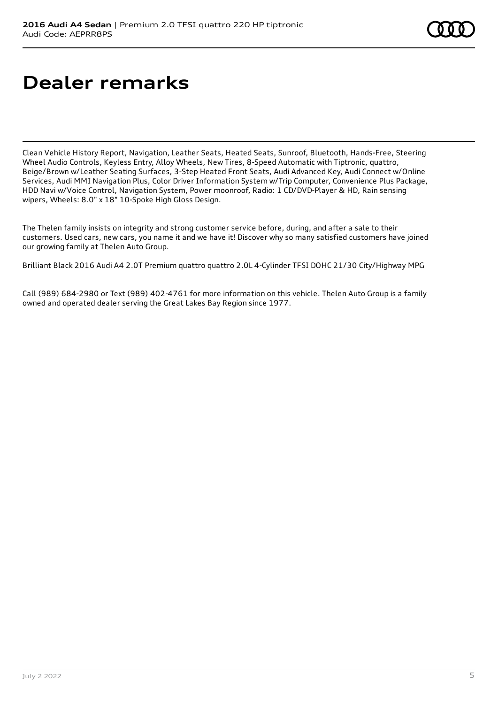# **Dealer remarks**

Clean Vehicle History Report, Navigation, Leather Seats, Heated Seats, Sunroof, Bluetooth, Hands-Free, Steering Wheel Audio Controls, Keyless Entry, Alloy Wheels, New Tires, 8-Speed Automatic with Tiptronic, quattro, Beige/Brown w/Leather Seating Surfaces, 3-Step Heated Front Seats, Audi Advanced Key, Audi Connect w/Online Services, Audi MMI Navigation Plus, Color Driver Information System w/Trip Computer, Convenience Plus Package, HDD Navi w/Voice Control, Navigation System, Power moonroof, Radio: 1 CD/DVD-Player & HD, Rain sensing wipers, Wheels: 8.0" x 18" 10-Spoke High Gloss Design.

The Thelen family insists on integrity and strong customer service before, during, and after a sale to their customers. Used cars, new cars, you name it and we have it! Discover why so many satisfied customers have joined our growing family at Thelen Auto Group.

Brilliant Black 2016 Audi A4 2.0T Premium quattro quattro 2.0L 4-Cylinder TFSI DOHC 21/30 City/Highway MPG

Call (989) 684-2980 or Text (989) 402-4761 for more information on this vehicle. Thelen Auto Group is a family owned and operated dealer serving the Great Lakes Bay Region since 1977.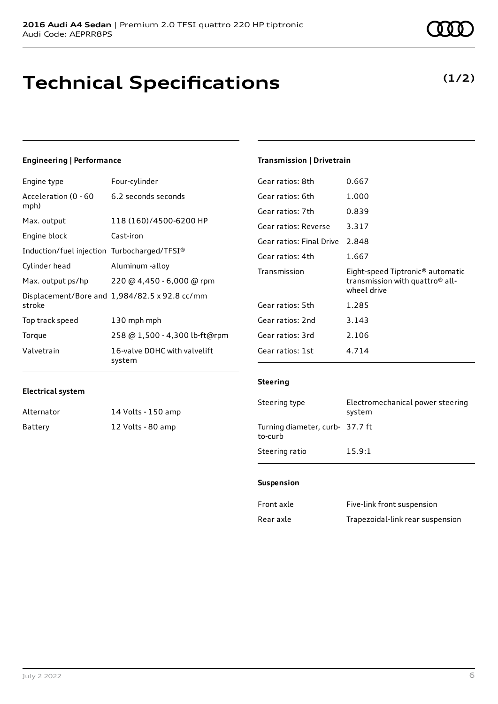# **Technical Specifications**

### **Engineering | Performance**

| Engine type                                 | Four-cylinder                                 |
|---------------------------------------------|-----------------------------------------------|
| Acceleration (0 - 60<br>mph)                | 6.2 seconds seconds                           |
| Max. output                                 | 118 (160)/4500-6200 HP                        |
| Engine block                                | Cast-iron                                     |
| Induction/fuel injection Turbocharged/TFSI® |                                               |
| Cylinder head                               | Aluminum -alloy                               |
| Max. output ps/hp                           | 220 @ 4,450 - 6,000 @ rpm                     |
| stroke                                      | Displacement/Bore and 1,984/82.5 x 92.8 cc/mm |
| Top track speed                             | 130 mph mph                                   |
| Torque                                      | 258 @ 1,500 - 4,300 lb-ft@rpm                 |
| Valvetrain                                  | 16-valve DOHC with valvelift<br>system        |

### **Transmission | Drivetrain**

| Gear ratios: 8th         | 0.667                                                                                                      |
|--------------------------|------------------------------------------------------------------------------------------------------------|
| Gear ratios: 6th         | 1.000                                                                                                      |
| Gear ratios: 7th         | 0.839                                                                                                      |
| Gear ratios: Reverse     | 3.317                                                                                                      |
| Gear ratios: Final Drive | 2.848                                                                                                      |
| Gear ratios: 4th         | 1.667                                                                                                      |
|                          |                                                                                                            |
| Transmission             | Eight-speed Tiptronic <sup>®</sup> automatic<br>transmission with quattro <sup>®</sup> all-<br>wheel drive |
| Gear ratios: 5th         | 1.285                                                                                                      |
| Gear ratios: 2nd         | 3.143                                                                                                      |
| Gear ratios: 3rd         | 2.106                                                                                                      |
| Gear ratios: 1st         | 4.714                                                                                                      |

#### **Electrical system**

| Alternator | 14 Volts - 150 amp |
|------------|--------------------|
| Battery    | 12 Volts - 80 amp  |

### **Steering**

| Steering type                              | Electromechanical power steering<br>system |
|--------------------------------------------|--------------------------------------------|
| Turning diameter, curb- 37.7 ft<br>to-curb |                                            |
| Steering ratio                             | 15.9:1                                     |

### **Suspension**

| Front axle | Five-link front suspension       |
|------------|----------------------------------|
| Rear axle  | Trapezoidal-link rear suspension |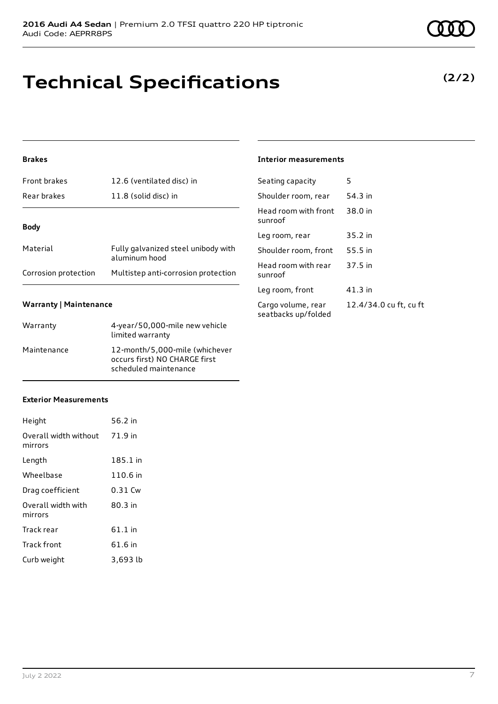# **Technical Specifications**

### **Brakes**

| <b>Front brakes</b>  | 12.6 (ventilated disc) in                            |
|----------------------|------------------------------------------------------|
| Rear brakes          | 11.8 (solid disc) in                                 |
|                      |                                                      |
| <b>Body</b>          |                                                      |
| Material             | Fully galvanized steel unibody with<br>aluminum hood |
| Corrosion protection | Multistep anti-corrosion protection                  |

### **Warranty | Maintenance**

| Warranty    | 4-year/50,000-mile new vehicle<br>limited warranty                                       |
|-------------|------------------------------------------------------------------------------------------|
| Maintenance | 12-month/5,000-mile (whichever<br>occurs first) NO CHARGE first<br>scheduled maintenance |

### **Exterior Measurements**

| Height                           | 56.2 in   |
|----------------------------------|-----------|
| Overall width without<br>mirrors | 71.9 in   |
| Length                           | 185.1 in  |
| Wheelbase                        | 110.6 in  |
| Drag coefficient                 | $0.31$ Cw |
| Overall width with<br>mirrors    | $80.3$ in |
| Track rear                       | 61.1 in   |
| <b>Track front</b>               | 61.6 in   |
| Curb weight                      | 3,693 lb  |

### **Interior measurements**

| Seating capacity                          | 5                      |
|-------------------------------------------|------------------------|
| Shoulder room, rear                       | 54.3 in                |
| Head room with front<br>sunroof           | 38.0 in                |
| Leg room, rear                            | 35.2 in                |
| Shoulder room, front                      | 55.5 in                |
| Head room with rear<br>sunroof            | 37.5 in                |
| Leg room, front                           | $41.3$ in              |
| Cargo volume, rear<br>seatbacks up/folded | 12.4/34.0 cu ft, cu ft |

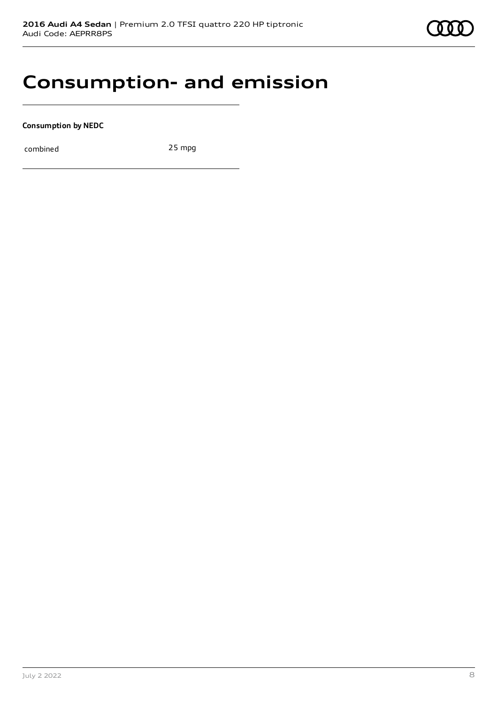## **Consumption- and emission**

**Consumption by NEDC**

combined 25 mpg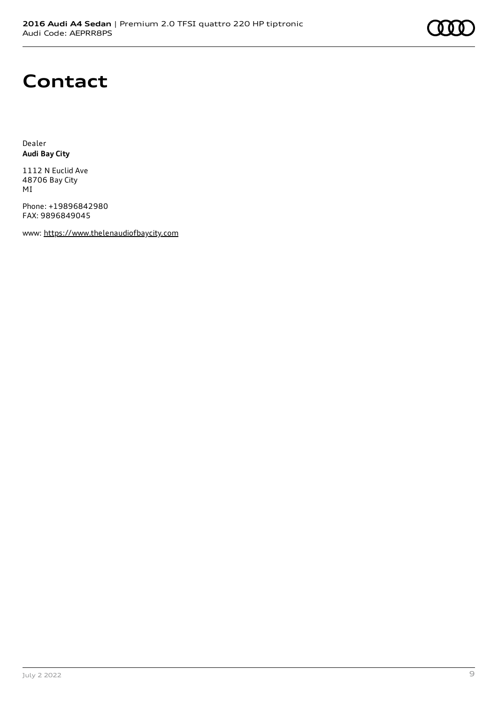## **Contact**

Dealer **Audi Bay City**

1112 N Euclid Ave 48706 Bay City MI

Phone: +19896842980 FAX: 9896849045

www: [https://www.thelenaudiofbaycity.com](https://www.thelenaudiofbaycity.com/)